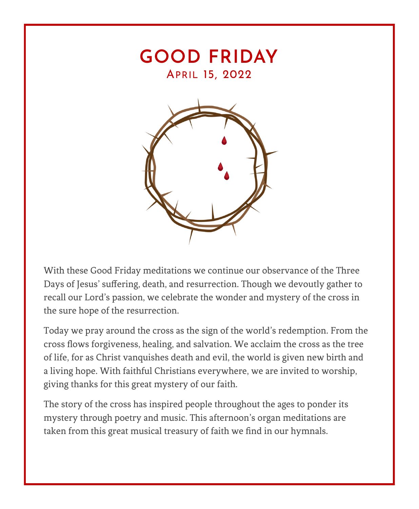

With these Good Friday meditations we continue our observance of the Three Days of Jesus' suffering, death, and resurrection. Though we devoutly gather to recall our Lord's passion, we celebrate the wonder and mystery of the cross in the sure hope of the resurrection.

Today we pray around the cross as the sign of the world's redemption. From the cross flows forgiveness, healing, and salvation. We acclaim the cross as the tree of life, for as Christ vanquishes death and evil, the world is given new birth and a living hope. With faithful Christians everywhere, we are invited to worship, giving thanks for this great mystery of our faith.

The story of the cross has inspired people throughout the ages to ponder its mystery through poetry and music. This afternoon's organ meditations are taken from this great musical treasury of faith we find in our hymnals.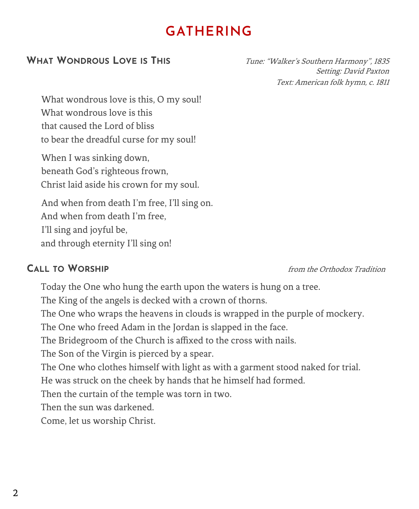# **GATHERING**

# **WHAT WONDROUS LOVE IS THIS** Tune: "Walker's Southern Harmony", 1835

Setting: David Paxton Text: American folk hymn, c. 1811

What wondrous love is this, O my soul! What wondrous love is this that caused the Lord of bliss to bear the dreadful curse for my soul!

When I was sinking down, beneath God's righteous frown, Christ laid aside his crown for my soul.

And when from death I'm free, I'll sing on. And when from death I'm free, I'll sing and joyful be, and through eternity I'll sing on!

**CALL TO WORSHIP** from the Orthodox Tradition

Today the One who hung the earth upon the waters is hung on a tree. The King of the angels is decked with a crown of thorns. The One who wraps the heavens in clouds is wrapped in the purple of mockery. The One who freed Adam in the Jordan is slapped in the face. The Bridegroom of the Church is affixed to the cross with nails. The Son of the Virgin is pierced by a spear. The One who clothes himself with light as with a garment stood naked for trial. He was struck on the cheek by hands that he himself had formed. Then the curtain of the temple was torn in two. Then the sun was darkened. Come, let us worship Christ.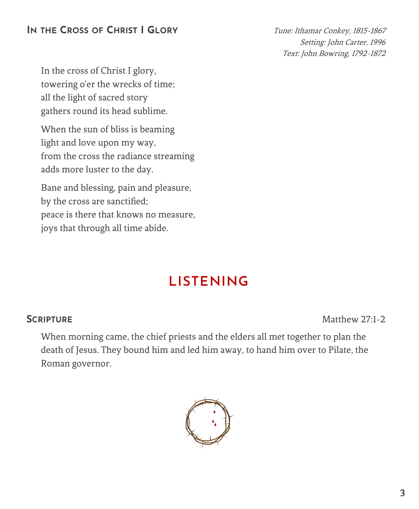# **IN THE CROSS OF CHRIST I GLORY** Tune: Ithamar Conkey, 1815-1867

Setting: John Carter, 1996 Text: John Bowring, 1792-1872

In the cross of Christ I glory, towering o'er the wrecks of time; all the light of sacred story gathers round its head sublime.

When the sun of bliss is beaming light and love upon my way, from the cross the radiance streaming adds more luster to the day.

Bane and blessing, pain and pleasure, by the cross are sanctified; peace is there that knows no measure, joys that through all time abide.

# **LISTENING**

**SCRIPTURE** Matthew 27:1-2

When morning came, the chief priests and the elders all met together to plan the death of Jesus. They bound him and led him away, to hand him over to Pilate, the Roman governor.

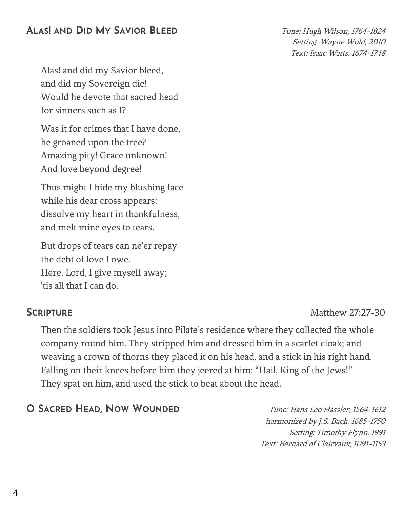# **ALAS! AND DID MY SAVIOR BLEED** Tune: Hugh Wilson, 1764-<sup>1824</sup>

Setting: Wayne Wold, 2010 Text: Isaac Watts, 1674-1748

Alas! and did my Savior bleed, and did my Sovereign die! Would he devote that sacred head for sinners such as I?

Was it for crimes that I have done, he groaned upon the tree? Amazing pity! Grace unknown! And love beyond degree!

Thus might I hide my blushing face while his dear cross appears; dissolve my heart in thankfulness, and melt mine eyes to tears.

But drops of tears can ne'er repay the debt of love I owe. Here, Lord, I give myself away; 'tis all that I can do.

**SCRIPTURE** Matthew 27:27-30

Then the soldiers took Jesus into Pilate's residence where they collected the whole company round him. They stripped him and dressed him in a scarlet cloak; and weaving a crown of thorns they placed it on his head, and a stick in his right hand. Falling on their knees before him they jeered at him: "Hail, King of the Jews!" They spat on him, and used the stick to beat about the head.

# **O SACRED HEAD, NOW WOUNDED** Tune: Hans Leo Hassler, 1564-<sup>1612</sup>

harmonized by J.S. Bach, 1685-1750 Setting: Timothy Flynn, 1991 Text: Bernard of Clairvaux, 1091-1153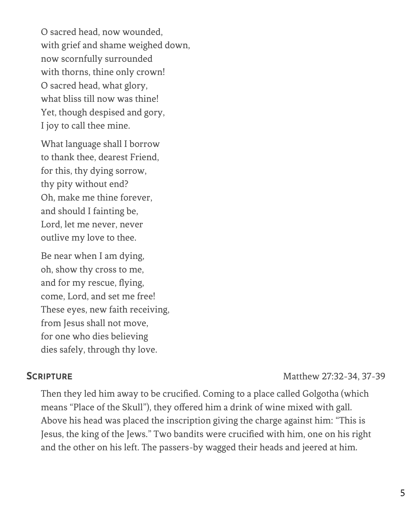O sacred head, now wounded, with grief and shame weighed down, now scornfully surrounded with thorns, thine only crown! O sacred head, what glory, what bliss till now was thine! Yet, though despised and gory, I joy to call thee mine.

What language shall I borrow to thank thee, dearest Friend, for this, thy dying sorrow, thy pity without end? Oh, make me thine forever, and should I fainting be, Lord, let me never, never outlive my love to thee.

Be near when I am dying, oh, show thy cross to me, and for my rescue, flying, come, Lord, and set me free! These eyes, new faith receiving, from Jesus shall not move, for one who dies believing dies safely, through thy love.

## **SCRIPTURE** Matthew 27:32-34, 37-39

Then they led him away to be crucified. Coming to a place called Golgotha (which means "Place of the Skull"), they offered him a drink of wine mixed with gall. Above his head was placed the inscription giving the charge against him: "This is Jesus, the king of the Jews." Two bandits were crucified with him, one on his right and the other on his left. The passers-by wagged their heads and jeered at him.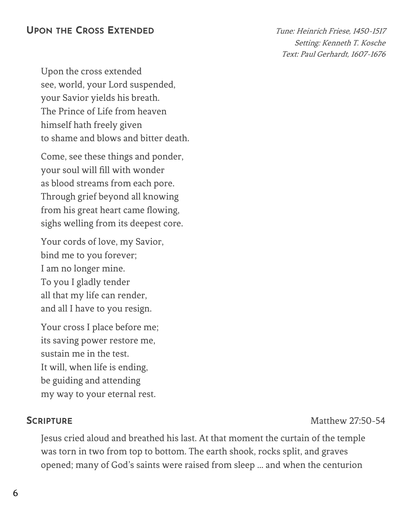## **UPON THE CROSS EXTENDED** Tune: Heinrich Friese, 1450-<sup>1517</sup>

Setting: Kenneth T. Kosche Text: Paul Gerhardt, 1607-1676

Upon the cross extended see, world, your Lord suspended, your Savior yields his breath. The Prince of Life from heaven himself hath freely given to shame and blows and bitter death.

Come, see these things and ponder, your soul will fill with wonder as blood streams from each pore. Through grief beyond all knowing from his great heart came flowing, sighs welling from its deepest core.

Your cords of love, my Savior, bind me to you forever; I am no longer mine. To you I gladly tender all that my life can render, and all I have to you resign.

Your cross I place before me; its saving power restore me, sustain me in the test. It will, when life is ending, be guiding and attending my way to your eternal rest.

**SCRIPTURE** Matthew 27:50-54

Jesus cried aloud and breathed his last. At that moment the curtain of the temple was torn in two from top to bottom. The earth shook, rocks split, and graves opened; many of God's saints were raised from sleep … and when the centurion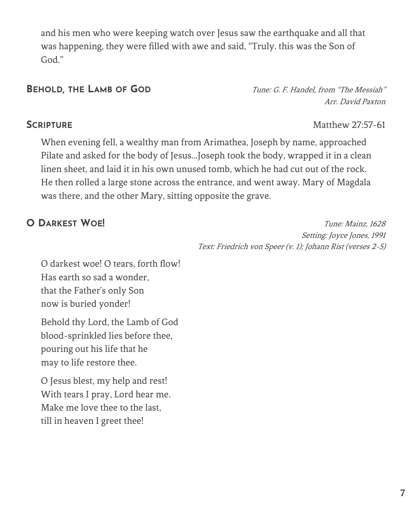and his men who were keeping watch over Jesus saw the earthquake and all that was happening, they were filled with awe and said, "Truly. this was the Son of God."

**BEHOLD, THE LAMB OF GOD** Tune: G. F. Handel, from "The Messiah" Arr. David Paxton

## **SCRIPTURE** Matthew 27:57-61

When evening fell, a wealthy man from Arimathea, Joseph by name, approached Pilate and asked for the body of Jesus...Joseph took the body, wrapped it in a clean linen sheet, and laid it in his own unused tomb, which he had cut out of the rock. He then rolled a large stone across the entrance, and went away. Mary of Magdala was there, and the other Mary, sitting opposite the grave.

**O DARKEST WOE!** Tune: Mainz, 1628 Setting: Joyce Jones, 1991 Text: Friedrich von Speer (v. 1); Johann Rist (verses 2-5)

O darkest woe! O tears, forth flow! Has earth so sad a wonder, that the Father's only Son now is buried yonder!

Behold thy Lord, the Lamb of God blood-sprinkled lies before thee, pouring out his life that he may to life restore thee.

O Jesus blest, my help and rest! With tears I pray, Lord hear me. Make me love thee to the last, till in heaven I greet thee!